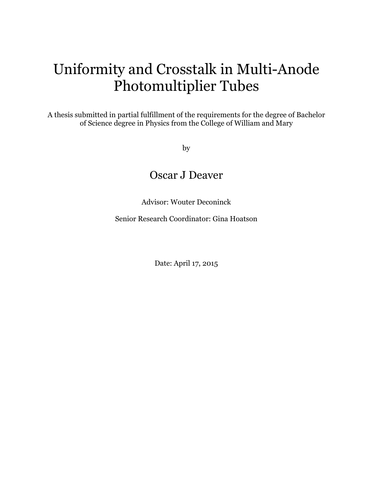# Uniformity and Crosstalk in Multi-Anode Photomultiplier Tubes

A thesis submitted in partial fulfillment of the requirements for the degree of Bachelor of Science degree in Physics from the College of William and Mary

by

## Oscar J Deaver

Advisor: Wouter Deconinck

Senior Research Coordinator: Gina Hoatson

Date: April 17, 2015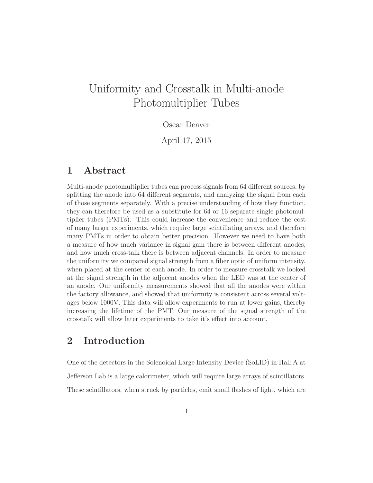## Uniformity and Crosstalk in Multi-anode Photomultiplier Tubes

#### Oscar Deaver

April 17, 2015

#### 1 Abstract

Multi-anode photomultiplier tubes can process signals from 64 different sources, by splitting the anode into 64 different segments, and analyzing the signal from each of those segments separately. With a precise understanding of how they function, they can therefore be used as a substitute for 64 or 16 separate single photomultiplier tubes (PMTs). This could increase the convenience and reduce the cost of many larger experiments, which require large scintillating arrays, and therefore many PMTs in order to obtain better precision. However we need to have both a measure of how much variance in signal gain there is between different anodes, and how much cross-talk there is between adjacent channels. In order to measure the uniformity we compared signal strength from a fiber optic of uniform intensity, when placed at the center of each anode. In order to measure crosstalk we looked at the signal strength in the adjacent anodes when the LED was at the center of an anode. Our uniformity measurements showed that all the anodes were within the factory allowance, and showed that uniformity is consistent across several voltages below 1000V. This data will allow experiments to run at lower gains, thereby increasing the lifetime of the PMT. Our measure of the signal strength of the crosstalk will allow later experiments to take it's effect into account.

### 2 Introduction

One of the detectors in the Solenoidal Large Intensity Device (SoLID) in Hall A at Jefferson Lab is a large calorimeter, which will require large arrays of scintillators. These scintillators, when struck by particles, emit small flashes of light, which are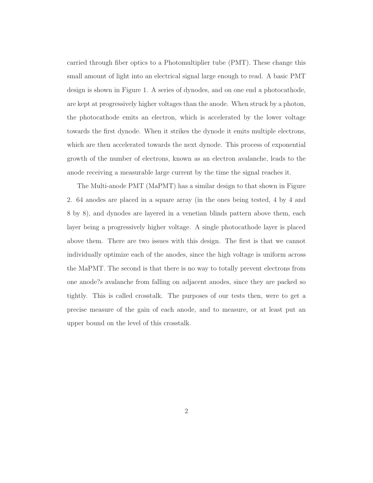carried through fiber optics to a Photomultiplier tube (PMT). These change this small amount of light into an electrical signal large enough to read. A basic PMT design is shown in Figure 1. A series of dynodes, and on one end a photocathode, are kept at progressively higher voltages than the anode. When struck by a photon, the photocathode emits an electron, which is accelerated by the lower voltage towards the first dynode. When it strikes the dynode it emits multiple electrons, which are then accelerated towards the next dynode. This process of exponential growth of the number of electrons, known as an electron avalanche, leads to the anode receiving a measurable large current by the time the signal reaches it.

The Multi-anode PMT (MaPMT) has a similar design to that shown in Figure 2. 64 anodes are placed in a square array (in the ones being tested, 4 by 4 and 8 by 8), and dynodes are layered in a venetian blinds pattern above them, each layer being a progressively higher voltage. A single photocathode layer is placed above them. There are two issues with this design. The first is that we cannot individually optimize each of the anodes, since the high voltage is uniform across the MaPMT. The second is that there is no way to totally prevent electrons from one anode?s avalanche from falling on adjacent anodes, since they are packed so tightly. This is called crosstalk. The purposes of our tests then, were to get a precise measure of the gain of each anode, and to measure, or at least put an upper bound on the level of this crosstalk.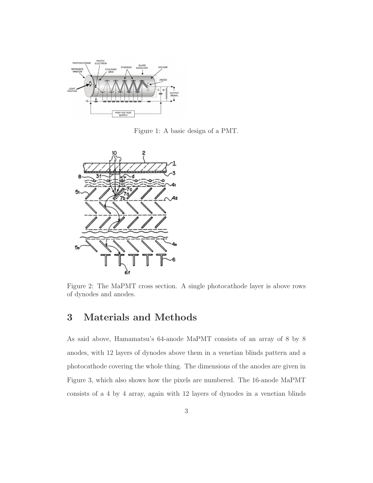

Figure 1: A basic design of a PMT.



Figure 2: The MaPMT cross section. A single photocathode layer is above rows of dynodes and anodes.

### 3 Materials and Methods

As said above, Hamamatsu's 64-anode MaPMT consists of an array of 8 by 8 anodes, with 12 layers of dynodes above them in a venetian blinds pattern and a photocathode covering the whole thing. The dimensions of the anodes are given in Figure 3, which also shows how the pixels are numbered. The 16-anode MaPMT consists of a 4 by 4 array, again with 12 layers of dynodes in a venetian blinds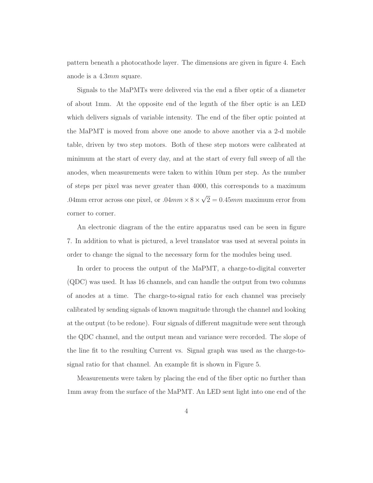pattern beneath a photocathode layer. The dimensions are given in figure 4. Each anode is a 4.3mm square.

Signals to the MaPMTs were delivered via the end a fiber optic of a diameter of about 1mm. At the opposite end of the legnth of the fiber optic is an LED which delivers signals of variable intensity. The end of the fiber optic pointed at the MaPMT is moved from above one anode to above another via a 2-d mobile table, driven by two step motors. Both of these step motors were calibrated at minimum at the start of every day, and at the start of every full sweep of all the anodes, when measurements were taken to within 10nm per step. As the number of steps per pixel was never greater than 4000, this corresponds to a maximum .04mm error across one pixel, or  $.04mm \times 8 \times \sqrt{2} = 0.45mm$  maximum error from corner to corner.

An electronic diagram of the the entire apparatus used can be seen in figure 7. In addition to what is pictured, a level translator was used at several points in order to change the signal to the necessary form for the modules being used.

In order to process the output of the MaPMT, a charge-to-digital converter (QDC) was used. It has 16 channels, and can handle the output from two columns of anodes at a time. The charge-to-signal ratio for each channel was precisely calibrated by sending signals of known magnitude through the channel and looking at the output (to be redone). Four signals of different magnitude were sent through the QDC channel, and the output mean and variance were recorded. The slope of the line fit to the resulting Current vs. Signal graph was used as the charge-tosignal ratio for that channel. An example fit is shown in Figure 5.

Measurements were taken by placing the end of the fiber optic no further than 1mm away from the surface of the MaPMT. An LED sent light into one end of the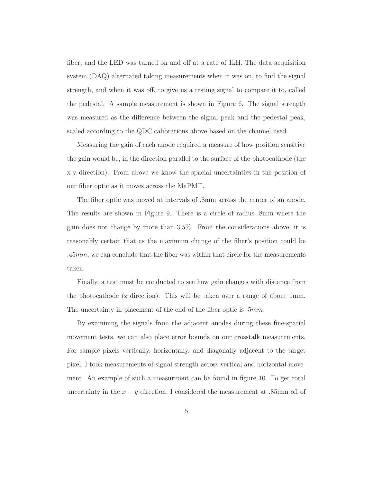fiber, and the LED was turned on and off at a rate of 1kH. The data acquisition system (DAQ) alternated taking measurements when it was on, to find the signal strength, and when it was off, to give us a resting signal to compare it to, called the pedestal. A sample measurement is shown in Figure 6. The signal strength was measured as the difference between the signal peak and the pedestal peak, scaled according to the QDC calibrations above based on the channel used.

Measuring the gain of each anode required a measure of how position sensitive the gain would be, in the direction parallel to the surface of the photocathode (the x-y direction). From above we know the spacial uncertainties in the position of our fiber optic as it moves across the MaPMT.

The fiber optic was moved at intervals of .8mm across the center of an anode. The results are shown in Figure 9. There is a circle of radius .8mm where the gain does not change by more than 3.5%. From the considerations above, it is reasonably certain that as the maximum change of the fiber's position could be  $.45mm$ , we can conclude that the fiber was within that circle for the measurements taken.

Finally, a test must be conducted to see how gain changes with distance from the photocathode (z direction). This will be taken over a range of about 1mm. The uncertainty in placement of the end of the fiber optic is  $.5mm$ .

By examining the signals from the adjacent anodes during these fine-spatial movement tests, we can also place error bounds on our crosstalk measurements. For sample pixels vertically, horizontally, and diagonally adjacent to the target pixel, I took measurements of signal strength across vertical and horizontal movement. An example of such a measurment can be found in figure 10. To get total uncertainty in the  $x - y$  direction, I considered the measurement at .85mm off of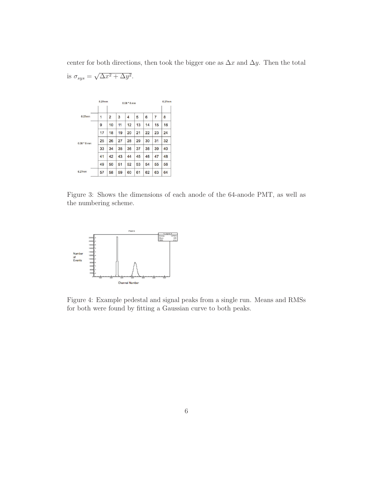center for both directions, then took the bigger one as  $\Delta x$  and  $\Delta y$ . Then the total is  $\sigma_{sys} = \sqrt{\Delta x^2 + \Delta y^2}$ .



Figure 3: Shows the dimensions of each anode of the 64-anode PMT, as well as the numbering scheme.



Figure 4: Example pedestal and signal peaks from a single run. Means and RMSs for both were found by fitting a Gaussian curve to both peaks.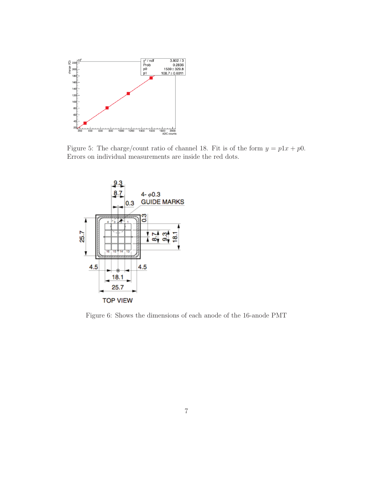

Figure 5: The charge/count ratio of channel 18. Fit is of the form  $y = p1x + p0$ . Errors on individual measurements are inside the red dots.



Figure 6: Shows the dimensions of each anode of the 16-anode PMT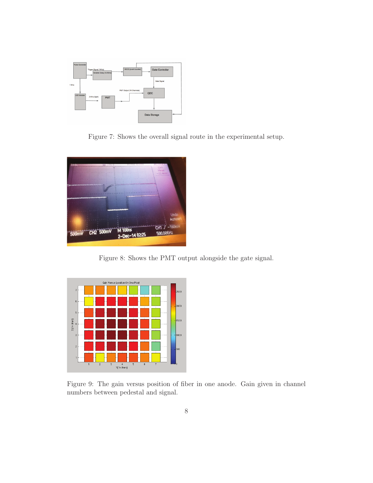

Figure 7: Shows the overall signal route in the experimental setup.



Figure 8: Shows the PMT output alongside the gate signal.



Figure 9: The gain versus position of fiber in one anode. Gain given in channel numbers between pedestal and signal.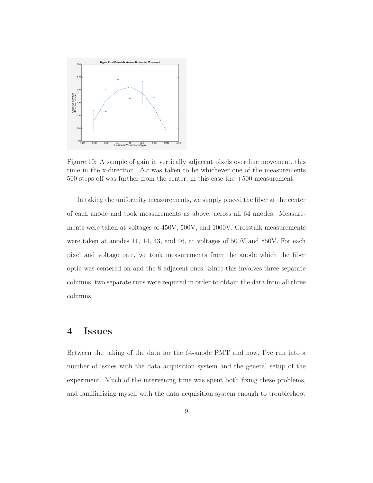

Figure 10: A sample of gain in vertically adjacent pixels over fine movement, this time in the x-direction.  $\Delta x$  was taken to be whichever one of the measurements 500 steps off was further from the center, in this case the +500 measurement.

In taking the uniformity measurements, we simply placed the fiber at the center of each anode and took measurements as above, across all 64 anodes. Measurements were taken at voltages of 450V, 500V, and 1000V. Crosstalk measurements were taken at anodes 11, 14, 43, and 46, at voltages of 500V and 850V. For each pixel and voltage pair, we took measurements from the anode which the fiber optic was centered on and the 8 adjacent ones. Since this involves three separate columns, two separate runs were required in order to obtain the data from all three columns.

#### 4 Issues

Between the taking of the data for the 64-anode PMT and now, I've run into a number of issues with the data acquisition system and the general setup of the experiment. Much of the intervening time was spent both fixing these problems, and familiarizing myself with the data acquisition system enough to troubleshoot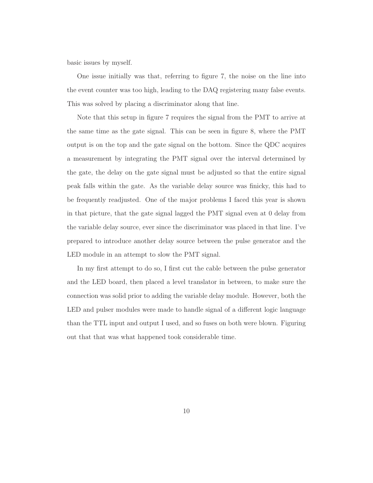basic issues by myself.

One issue initially was that, referring to figure 7, the noise on the line into the event counter was too high, leading to the DAQ registering many false events. This was solved by placing a discriminator along that line.

Note that this setup in figure 7 requires the signal from the PMT to arrive at the same time as the gate signal. This can be seen in figure 8, where the PMT output is on the top and the gate signal on the bottom. Since the QDC acquires a measurement by integrating the PMT signal over the interval determined by the gate, the delay on the gate signal must be adjusted so that the entire signal peak falls within the gate. As the variable delay source was finicky, this had to be frequently readjusted. One of the major problems I faced this year is shown in that picture, that the gate signal lagged the PMT signal even at 0 delay from the variable delay source, ever since the discriminator was placed in that line. I've prepared to introduce another delay source between the pulse generator and the LED module in an attempt to slow the PMT signal.

In my first attempt to do so, I first cut the cable between the pulse generator and the LED board, then placed a level translator in between, to make sure the connection was solid prior to adding the variable delay module. However, both the LED and pulser modules were made to handle signal of a different logic language than the TTL input and output I used, and so fuses on both were blown. Figuring out that that was what happened took considerable time.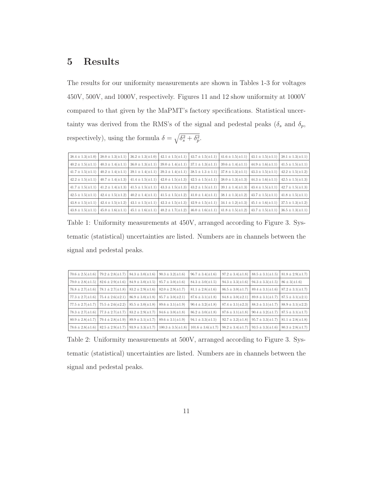### 5 Results

The results for our uniformity measurements are shown in Tables 1-3 for voltages 450V, 500V, and 1000V, respectively. Figures 11 and 12 show uniformity at 1000V compared to that given by the MaPMT's factory specifications. Statistical uncertainty was derived from the RMS's of the signal and pedestal peaks  $(\delta_s$  and  $\delta_p$ , respectively), using the formula  $\delta = \sqrt{\delta_s^2 + \delta_p^2}$  $_p^2.$ 

| $38.4 \pm 1.3(\pm 1.0)$ |                                                                                                                         | $38.0 \pm 1.3(\pm 1.1)$ $36.2 \pm 1.3(\pm 1.0)$ $42.1 \pm 1.5(\pm 1.1)$ $43.7 \pm 1.5(\pm 1.1)$ |                                                 |                                                                                                                                                                         | $\left  41.6 \pm 1.5(\pm 1.1) \right  43.1 \pm 1.5(\pm 1.1) \left  38.1 \pm 1.3(\pm 1.1) \right $ |                                                                                       |
|-------------------------|-------------------------------------------------------------------------------------------------------------------------|-------------------------------------------------------------------------------------------------|-------------------------------------------------|-------------------------------------------------------------------------------------------------------------------------------------------------------------------------|---------------------------------------------------------------------------------------------------|---------------------------------------------------------------------------------------|
| $40.2 \pm 1.5(\pm 1.1)$ |                                                                                                                         | $40.3 \pm 1.4(\pm 1.1)$ $36.0 \pm 1.3(\pm 1.1)$                                                 | $39.0 \pm 1.4(\pm 1.1)$ $37.1 \pm 1.3(\pm 1.1)$ |                                                                                                                                                                         |                                                                                                   | $39.6 \pm 1.4(\pm 1.1)$ $44.9 \pm 1.6(\pm 1.1)$ $41.5 \pm 1.5(\pm 1.1)$               |
| $41.7 \pm 1.5(\pm 1.1)$ |                                                                                                                         | $40.2 \pm 1.4(\pm 1.1)$ 39.1 $\pm 1.4(\pm 1.1)$                                                 | $39.3 \pm 1.4(\pm 1.1)$ $38.5 \pm 1.3 \pm 1.1$  |                                                                                                                                                                         | $ 37.8 \pm 1.3(\pm 1.1) $ $ 43.3 \pm 1.5(\pm 1.1) $ $ 42.2 \pm 1.5(\pm 1.2) $                     |                                                                                       |
| $42.2 \pm 1.5(\pm 1.1)$ |                                                                                                                         | $40.7 \pm 1.4(\pm 1.3)$ $41.4 \pm 1.5(\pm 1.1)$ $42.0 \pm 1.5(\pm 1.3)$ $42.5 \pm 1.5(\pm 1.1)$ |                                                 |                                                                                                                                                                         | $38.0 \pm 1.3(\pm 1.3)$ $44.3 \pm 1.6(\pm 1.1)$ $42.5 \pm 1.5(\pm 1.3)$                           |                                                                                       |
|                         | $41.7 \pm 1.5(\pm 1.1)$ $41.2 \pm 1.4(\pm 1.3)$ $41.5 \pm 1.5(\pm 1.1)$ $43.3 \pm 1.5(\pm 1.3)$ $43.2 \pm 1.5(\pm 1.1)$ |                                                                                                 |                                                 |                                                                                                                                                                         |                                                                                                   | $39.1 \pm 1.4(\pm 1.3)$ $\mid$ $43.4 \pm 1.5(\pm 1.1)$ $\mid$ $42.7 \pm 1.5(\pm 1.3)$ |
| $42.5 \pm 1.5(\pm 1.1)$ |                                                                                                                         | $42.4 \pm 1.5(\pm 1.2)$ $40.2 \pm 1.4(\pm 1.1)$ $41.5 \pm 1.5(\pm 1.2)$ $41.0 \pm 1.4(\pm 1.1)$ |                                                 |                                                                                                                                                                         |                                                                                                   | $38.1 \pm 1.3(\pm 1.2)$ $43.7 \pm 1.5(\pm 1.1)$ $41.8 \pm 1.5(\pm 1.1)$               |
| $43.8 \pm 1.5(\pm 1.1)$ |                                                                                                                         | $42.4 \pm 1.5(\pm 1.2)$ $43.1 \pm 1.5(\pm 1.1)$ $42.3 \pm 1.5(\pm 1.3)$ $42.9 \pm 1.5(\pm 1.1)$ |                                                 |                                                                                                                                                                         |                                                                                                   | $34.1 \pm 1.2(\pm 1.3)$ $45.1 \pm 1.6(\pm 1.1)$ $37.5 \pm 1.3(\pm 1.2)$               |
| $43.8 \pm 1.5(\pm 1.1)$ |                                                                                                                         |                                                                                                 |                                                 | $45.0 \pm 1.6(\pm 1.1)$ $45.1 \pm 1.6(\pm 1.1)$ $48.2 \pm 1.7(\pm 1.2)$ $46.0 \pm 1.6(\pm 1.1)$ $41.8 \pm 1.5(\pm 1.2)$ $43.7 \pm 1.5(\pm 1.1)$ $36.5 \pm 1.3(\pm 1.1)$ |                                                                                                   |                                                                                       |

Table 1: Uniformity measurements at 450V, arranged according to Figure 3. Systematic (statistical) uncertainties are listed. Numbers are in channels between the signal and pedestal peaks.

| $70.6 \pm 2.5(\pm 1.6)$ | $79.2 \pm 2.8(\pm 1.7)$ | $84.3 \pm 3.0(\pm 1.6)$  | $90.3 \pm 3.2(\pm 1.6)$  | $96.7 \pm 3.4(\pm 1.6)$  | $97.2 \pm 3.4(\pm 1.8)$  | $88.5 \pm 3.1(\pm 1.5)$ $81.8 \pm 2.9(\pm 1.7)$ |                                                   |
|-------------------------|-------------------------|--------------------------|--------------------------|--------------------------|--------------------------|-------------------------------------------------|---------------------------------------------------|
| $79.0 \pm 2.8(\pm 1.5)$ | $82.6 \pm 2.9(\pm 1.6)$ | $84.9 \pm 3.0(\pm 1.5)$  | $85.7 \pm 3.0(\pm 1.6)$  | $84.3 \pm 3.0(\pm 1.5)$  | $94.3 \pm 3.3(\pm 1.6)$  | $94.3 \pm 3.3(\pm 1.5)$                         | $86 \pm 3(\pm 1.6)$                               |
| $76.8 \pm 2.7(\pm 1.6)$ | $78.1 \pm 2.7(\pm 1.8)$ | $83.2 \pm 2.9(\pm 1.6)$  | $82.0 \pm 2.9(\pm 1.7)$  | $81.1 \pm 2.8(\pm 1.6)$  | $86.5 \pm 3.0(\pm 1.7)$  |                                                 | $89.4 \pm 3.1(\pm 1.6)$   $87.2 \pm 3.1(\pm 1.7)$ |
| $77.3 \pm 2.7(\pm 1.6)$ | $75.4 \pm 2.6(\pm 2.1)$ | $86.9 \pm 3.0(\pm 1.8)$  | $85.7 \pm 3.0(\pm 2.1)$  | $87.6 \pm 3.1(\pm 1.8)$  | $84.8 \pm 3.0(\pm 2.1)$  |                                                 | $89.8 \pm 3.1(\pm 1.7)$   $87.5 \pm 3.1(\pm 2.1)$ |
| $77.5 \pm 2.7(\pm 1.7)$ | $75.5 \pm 2.6(\pm 2.2)$ | $85.5 \pm 3.0(\pm 1.8)$  | $89.6 \pm 3.1 (\pm 1.9)$ | $90.4 \pm 3.2(\pm 1.8)$  | $87.4 \pm 3.1 (\pm 2.3)$ | $88.3 \pm 3.1(\pm 1.7)$ $88.9 \pm 3.1(\pm 2.2)$ |                                                   |
| $78.3 \pm 2.7(\pm 1.6)$ | $77.3 \pm 2.7(\pm 1.7)$ | $83.2 \pm 2.9(\pm 1.7)$  | $84.6 \pm 3.0(\pm 1.8)$  | $86.2 \pm 3.0(\pm 1.8)$  | $87.6 \pm 3.1 (\pm 1.8)$ |                                                 | $90.4 \pm 3.2(\pm 1.7)$   $87.5 \pm 3.1(\pm 1.7)$ |
| $80.9 \pm 2.8(\pm 1.7)$ | $79.4 \pm 2.8(\pm 1.9)$ | $89.9 \pm 3.1 (\pm 1.7)$ | $89.6 \pm 3.1 (\pm 1.9)$ | $94.1 \pm 3.3(\pm 1.5)$  | $92.7 \pm 3.2 (\pm 1.8)$ | $95.7 \pm 3.3(\pm 1.7)$ $81.1 \pm 2.8(\pm 1.8)$ |                                                   |
| $78.6 \pm 2.8(\pm 1.6)$ | $82.5 \pm 2.9(\pm 1.7)$ | $93.9 \pm 3.3(\pm 1.7)$  | $100.3 \pm 3.5(\pm 1.8)$ | $101.6 \pm 3.6(\pm 1.7)$ | $98.2 \pm 3.4(\pm 1.7)$  | $93.5 \pm 3.3(\pm 1.6)$                         | $80.3 \pm 2.8(\pm 1.7)$                           |

Table 2: Uniformity measurements at 500V, arranged according to Figure 3. Systematic (statistical) uncertainties are listed. Numbers are in channels between the signal and pedestal peaks.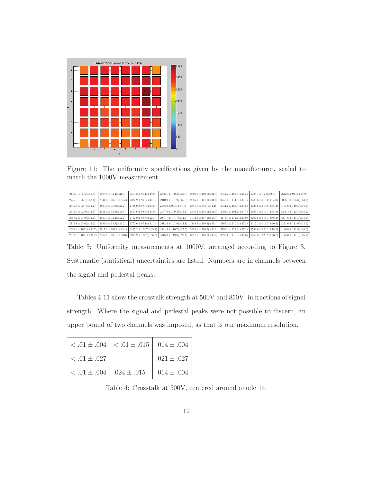

Figure 11: The uniformity specifications given by the manufacturer, scaled to match the 1000V measurement.

| $2443.9 \pm 85.5(\pm 30.8)$  | $2668.6 \pm 93.4(\pm 31.0)$    | $2573.2 \pm 90.1(\pm 29.0)$  | $2866.1 \pm 100.3(\pm 32.0)$ | $2880.9 \pm 100.8(\pm 31.3)$  | $2951.2 \pm 103.3(\pm 31.5)$ | $2723.4 \pm 95.3(\pm 29.4)$  | $2642.8 \pm 92.5(\pm 29.9)$  |
|------------------------------|--------------------------------|------------------------------|------------------------------|-------------------------------|------------------------------|------------------------------|------------------------------|
| $2745.5 \pm 96.1(\pm 32.4)$  | $2941.0 \pm 102.9 \times 34.4$ | $2827.9 \pm 99.0(\pm 33.7)$  | $2910.9 \pm 101.9(\pm 35.0)$ | $2886.9 \pm 101.0(\pm 34.0)$  | $3256.4 \pm 114.0(\pm 35.1)$ | $3286.8 \pm 115.0(\pm 34.0)$ | $3008.1 \pm 105.3(\pm 33.7)$ |
| $2649.3 \pm 92.7(\pm 32.2)$  | $2800.0 \pm 98.0(\pm 34.2)$    | $2798.9 \pm 98.0(\pm 34.8)$  | $2838.9 \pm 99.4(\pm 34.7)$  | $2851.7 \pm 99.8(\pm 34.2)$   | $3054.7 \pm 106.9(\pm 35.8)$ | $3244.8 \pm 113.6(\pm 35.4)$ | $3151.6 \pm 110.3(\pm 35.6)$ |
| $2645.9 \pm 92.6(\pm 32.5)$  | $2654.2 \pm 92.9(\pm 32.6)$    | $2815.6 \pm 98.5(\pm 33.0)$  | $2867.6 \pm 100.4(\pm 33.1)$ | $2946.3 \pm 103.1(\pm 34.0)$  | $2992.6 \pm 104.7(\pm 34.7)$ | $3265.4 \pm 114.3(\pm 35.2)$ | $3208.3 \pm 112.3(\pm 36.1)$ |
| $2658.2 \pm 93.0(\pm 32.2)$  | $2639.4 \pm 92.4(\pm 32.2)$    | $2752.0 \pm 96.3(\pm 32.3)$  | $2991.7 \pm 104.7(\pm 34.6)$ | $3072.6 \pm 107.5(\pm 35.3)$  | $3175.9 \pm 111.2(\pm 37.0)$ | $3266.8 \pm 114.3(\pm 36.2)$ | $3294.6 \pm 115.3(\pm 35.6)$ |
| $2713.8 \pm 95.0(\pm 32.2)$  | $2694.0 \pm 94.3(\pm 32.2)$    | $2773.6 \pm 97.1(\pm 33.3)$  | $2912.4 \pm 101.9(\pm 34.8)$ | $3149.4 \pm 110.2 (\pm 37.4)$ | $3167.6 \pm 110.9(\pm 37.3)$ | $3415.3 \pm 119.5(\pm 30.4)$ | $3253.6 \pm 113.9(\pm 35.6)$ |
| $2931.6 \pm 102.6(\pm 34.7)$ | $2917.1 \pm 102.1 (\pm 33.1)$  | $3105.2 \pm 108.7(\pm 35.3)$ | $3334.4 \pm 116.7(\pm 37.5)$ | $3328.1 \pm 116.5(\pm 36.1)$  | $3503.3 \pm 122.6(\pm 27.2)$ | $3548.0 \pm 124.2(\pm 18.2)$ | $3196.0 \pm 111.9(\pm 36.0)$ |
| $2913.6 \pm 102.0(\pm 36.7)$ | $2867.1 \pm 100.3(\pm 33.6)$   | $3075.9 \pm 107.7(\pm 35.2)$ | $3415.9 \pm 119.6(\pm 29.1)$ | $3391.5 \pm 118.7(\pm 32.0)$  | $3393.1 \pm 118.8(\pm 30.3)$ | $3453.8 \pm 120.9(\pm 26.7)$ | $3175.0 \pm 111.1(\pm 36.9)$ |

Table 3: Uniformity measurements at 1000V, arranged according to Figure 3. Systematic (statistical) uncertainties are listed. Numbers are in channels between the signal and pedestal peaks.

Tables 4-11 show the crosstalk strength at 500V and 850V, in fractions of signal strength. Where the signal and pedestal peaks were not possible to discern, an upper bound of two channels was imposed, as that is our maximum resolution.

|                                    | $< .01 \pm .004$   $< .01 \pm .015$   .014 $\pm .004$ |                 |
|------------------------------------|-------------------------------------------------------|-----------------|
| $<.01 \pm .027$                    |                                                       | $.021 \pm .027$ |
| $< .01 \pm .004$   .024 $\pm .015$ |                                                       | $.014 \pm .004$ |

Table 4: Crosstalk at 500V, centered around anode 14.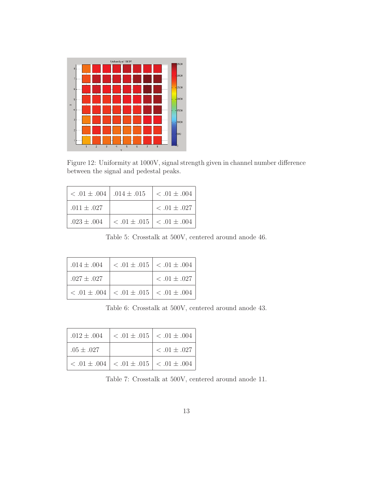

Figure 12: Uniformity at 1000V, signal strength given in channel number difference between the signal and pedestal peaks.

| $< .01 \pm .004$   $.014 \pm .015$ |                                           | $ $ < .01 $\pm$ .004 |
|------------------------------------|-------------------------------------------|----------------------|
| $.011 \pm .027$                    |                                           | $< .01 \pm .027$     |
| $.023 \pm .004$                    | $ $ < .01 $\pm$ .015 $ $ < .01 $\pm$ .004 |                      |

Table 5: Crosstalk at 500V, centered around anode 46.

| $.014 \pm .004$ | $< .01 \pm .015$   $< .01 \pm .004$                    |                  |
|-----------------|--------------------------------------------------------|------------------|
| $.027 \pm .027$ |                                                        | $< .01 \pm .027$ |
|                 | $< .01 \pm .004$   $< .01 \pm .015$   $< .01 \pm .004$ |                  |

Table 6: Crosstalk at 500V, centered around anode 43.

| $.012 \pm .004$ | $ $ < .01 $\pm$ .015 $ $ < .01 $\pm$ .004              |                  |
|-----------------|--------------------------------------------------------|------------------|
| $.05 \pm .027$  |                                                        | $< .01 \pm .027$ |
|                 | $< .01 \pm .004$   $< .01 \pm .015$   $< .01 \pm .004$ |                  |

Table 7: Crosstalk at 500V, centered around anode 11.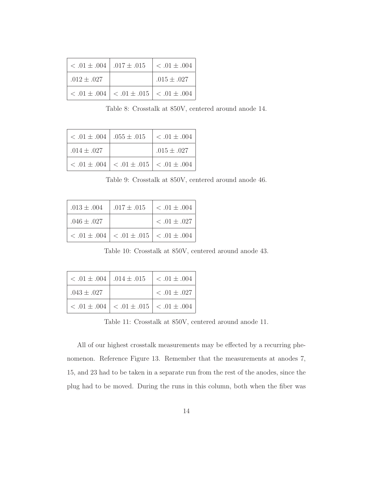| $< .01 \pm .004$   .017 $\pm .015$ |                                                        | $ $ < .01 $\pm$ .004 |
|------------------------------------|--------------------------------------------------------|----------------------|
| $.012 \pm .027$                    |                                                        | $.015 \pm .027$      |
|                                    | $< .01 \pm .004$   $< .01 \pm .015$   $< .01 \pm .004$ |                      |

Table 8: Crosstalk at 850V, centered around anode 14.

| $< .01 \pm .004$   $.055 \pm .015$ |                                                        | $ $ < .01 $\pm$ .004 |
|------------------------------------|--------------------------------------------------------|----------------------|
| $.014 \pm .027$                    |                                                        | $.015\pm.027$        |
|                                    | $< .01 \pm .004$   $< .01 \pm .015$   $< .01 \pm .004$ |                      |

Table 9: Crosstalk at 850V, centered around anode 46.

| $.013 \pm .004$ | $.017 \pm .015$                                        | $<.01 \pm .004$     |
|-----------------|--------------------------------------------------------|---------------------|
| $.046 \pm .027$ |                                                        | $\leq .01 \pm .027$ |
|                 | $< .01 \pm .004$   $< .01 \pm .015$   $< .01 \pm .004$ |                     |

Table 10: Crosstalk at 850V, centered around anode 43.

|                 | $< .01 \pm .004$   .014 $\pm .015$   $< .01 \pm .004$  |               |
|-----------------|--------------------------------------------------------|---------------|
| $.043 \pm .027$ |                                                        | $<.01\pm.027$ |
|                 | $< .01 \pm .004$   $< .01 \pm .015$   $< .01 \pm .004$ |               |

Table 11: Crosstalk at 850V, centered around anode 11.

All of our highest crosstalk measurements may be effected by a recurring phenomenon. Reference Figure 13. Remember that the measurements at anodes 7, 15, and 23 had to be taken in a separate run from the rest of the anodes, since the plug had to be moved. During the runs in this column, both when the fiber was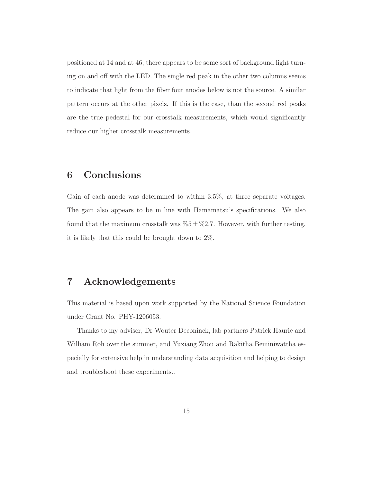positioned at 14 and at 46, there appears to be some sort of background light turning on and off with the LED. The single red peak in the other two columns seems to indicate that light from the fiber four anodes below is not the source. A similar pattern occurs at the other pixels. If this is the case, than the second red peaks are the true pedestal for our crosstalk measurements, which would significantly reduce our higher crosstalk measurements.

#### 6 Conclusions

Gain of each anode was determined to within 3.5%, at three separate voltages. The gain also appears to be in line with Hamamatsu's specifications. We also found that the maximum crosstalk was  $\%5 \pm \%2.7$ . However, with further testing, it is likely that this could be brought down to 2%.

#### 7 Acknowledgements

This material is based upon work supported by the National Science Foundation under Grant No. PHY-1206053.

Thanks to my adviser, Dr Wouter Deconinck, lab partners Patrick Haurie and William Roh over the summer, and Yuxiang Zhou and Rakitha Beminiwattha especially for extensive help in understanding data acquisition and helping to design and troubleshoot these experiments..